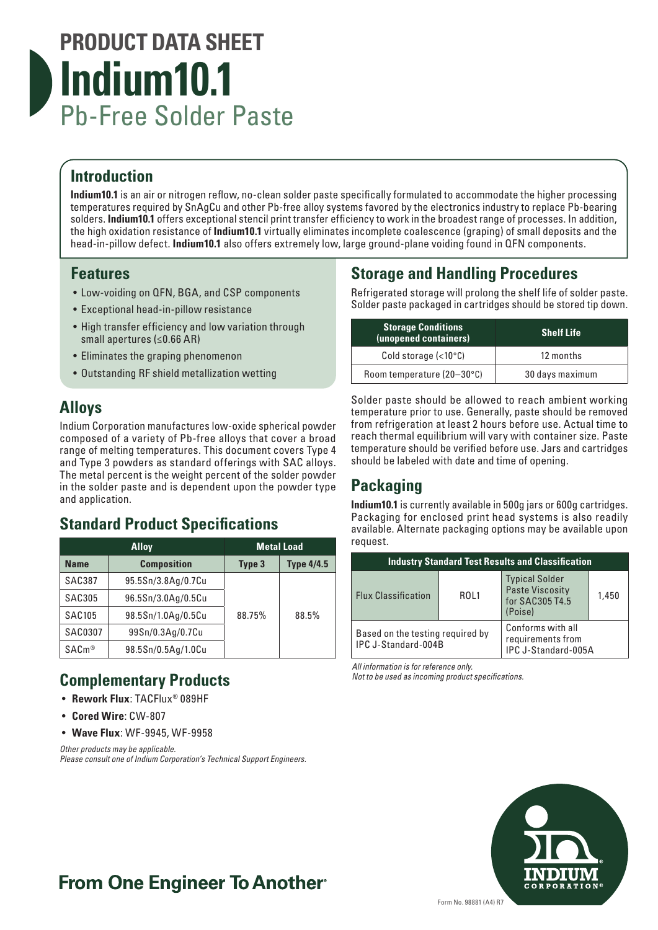# **PRODUCT DATA SHEET Indium10.1** Pb-Free Solder Paste

### **Introduction**

**Indium10.1** is an air or nitrogen reflow, no-clean solder paste specifically formulated to accommodate the higher processing temperatures required by SnAgCu and other Pb-free alloy systems favored by the electronics industry to replace Pb-bearing solders. **Indium10.1** offers exceptional stencil print transfer efficiency to work in the broadest range of processes. In addition, the high oxidation resistance of **Indium10.1** virtually eliminates incomplete coalescence (graping) of small deposits and the head-in-pillow defect. **Indium10.1** also offers extremely low, large ground-plane voiding found in QFN components.

### **Features**

- Low-voiding on QFN, BGA, and CSP components
- Exceptional head-in-pillow resistance
- High transfer efficiency and low variation through small apertures (≤0.66 AR)
- Eliminates the graping phenomenon
- Outstanding RF shield metallization wetting

### **Alloys**

Indium Corporation manufactures low-oxide spherical powder composed of a variety of Pb-free alloys that cover a broad range of melting temperatures. This document covers Type 4 and Type 3 powders as standard offerings with SAC alloys. The metal percent is the weight percent of the solder powder in the solder paste and is dependent upon the powder type and application.

## **Standard Product Specifications**

| <b>Alloy</b>                      |                    | <b>Metal Load</b> |                   |
|-----------------------------------|--------------------|-------------------|-------------------|
| <b>Composition</b><br><b>Name</b> |                    | Type 3            | <b>Type 4/4.5</b> |
| <b>SAC387</b>                     | 95.5Sn/3.8Ag/0.7Cu |                   |                   |
| <b>SAC305</b>                     | 96.5Sn/3.0Ag/0.5Cu |                   |                   |
| <b>SAC105</b>                     | 98.5Sn/1.0Ag/0.5Cu | 88.75%            | 88.5%             |
| <b>SAC0307</b>                    | 99Sn/0.3Ag/0.7Cu   |                   |                   |
| SAC <sub>m®</sub>                 | 98.5Sn/0.5Ag/1.0Cu |                   |                   |

# **Complementary Products**

- **Rework Flux**: TACFlux® 089HF
- **Cored Wire**: CW-807
- **Wave Flux**: WF-9945, WF-9958

*Other products may be applicable. Please consult one of Indium Corporation's Technical Support Engineers.*

### **Storage and Handling Procedures**

Refrigerated storage will prolong the shelf life of solder paste. Solder paste packaged in cartridges should be stored tip down.

| <b>Storage Conditions</b><br>(unopened containers) | <b>Shelf Life</b> |  |
|----------------------------------------------------|-------------------|--|
| Cold storage $(<10°C)$                             | 12 months         |  |
| Room temperature (20-30°C)                         | 30 days maximum   |  |

Solder paste should be allowed to reach ambient working temperature prior to use. Generally, paste should be removed from refrigeration at least 2 hours before use. Actual time to reach thermal equilibrium will vary with container size. Paste temperature should be verified before use. Jars and cartridges should be labeled with date and time of opening.

## **Packaging**

**Indium10.1** is currently available in 500g jars or 600g cartridges. Packaging for enclosed print head systems is also readily available. Alternate packaging options may be available upon request.

| <b>Industry Standard Test Results and Classification</b> |      |                                                                               |       |  |
|----------------------------------------------------------|------|-------------------------------------------------------------------------------|-------|--|
| <b>Flux Classification</b>                               | ROL1 | <b>Typical Solder</b><br><b>Paste Viscosity</b><br>for SAC305 T4.5<br>(Poise) | 1,450 |  |
| Based on the testing required by<br>IPC J-Standard-004B  |      | Conforms with all<br>requirements from<br>IPC J-Standard-005A                 |       |  |

*All information is for reference only.*

*Not to be used as incoming product specifications.*



# **From One Engineer To Another**®